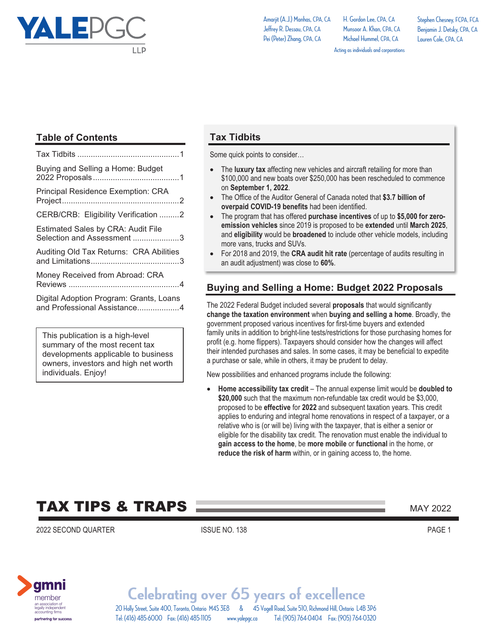

H. Gordon Lee, CPA, CA Munsoor A. Khan, CDA, CA Michael Hummel, CPA, CA

Stephen Chesney, FCPA, FCA Benjamin J. Detsky, CPA, CA Lauren Cole, CPA, CA

Acting as individuals and corporations

### **Table of Contents**

| Buying and Selling a Home: Budget                                       |
|-------------------------------------------------------------------------|
| <b>Principal Residence Exemption: CRA</b>                               |
| CERB/CRB: Eligibility Verification 2                                    |
| <b>Estimated Sales by CRA: Audit File</b><br>Selection and Assessment 3 |
| Auditing Old Tax Returns: CRA Abilities                                 |
| Money Received from Abroad: CRA                                         |
| Digital Adoption Program: Grants, Loans<br>and Professional Assistance4 |

This publication is a high-level summary of the most recent tax developments applicable to business owners, investors and high net worth individuals. Enjoy!

#### **Tax Tidbits**

Some quick points to consider…

- The **luxury tax** affecting new vehicles and aircraft retailing for more than \$100,000 and new boats over \$250,000 has been rescheduled to commence on **September 1, 2022**.
- The Office of the Auditor General of Canada noted that **\$3.7 billion of overpaid COVID-19 benefits** had been identified.
- The program that has offered **purchase incentives** of up to **\$5,000 for zeroemission vehicles** since 2019 is proposed to be **extended** until **March 2025**, and **eligibility** would be **broadened** to include other vehicle models, including more vans, trucks and SUVs.
- - For 2018 and 2019, the **CRA audit hit rate** (percentage of audits resulting in an audit adjustment) was close to **60%**.

#### **Buying and Selling a Home: Budget 2022 Proposals**

The 2022 Federal Budget included several **proposals** that would significantly **change the taxation environment** when **buying and selling a home**. Broadly, the government proposed various incentives for first-time buyers and extended family units in addition to bright-line tests/restrictions for those purchasing homes for profit (e.g. home flippers). Taxpayers should consider how the changes will affect their intended purchases and sales. In some cases, it may be beneficial to expedite a purchase or sale, while in others, it may be prudent to delay.

New possibilities and enhanced programs include the following:

- **Home accessibility tax credit** – The annual expense limit would be **doubled to \$20,000** such that the maximum non-refundable tax credit would be \$3,000, proposed to be **effective** for **2022** and subsequent taxation years. This credit applies to enduring and integral home renovations in respect of a taxpayer, or a relative who is (or will be) living with the taxpayer, that is either a senior or eligible for the disability tax credit. The renovation must enable the individual to **gain access to the home**, be **more mobile** or **functional** in the home, or **reduce the risk of harm** within, or in gaining access to, the home.

# **TAX TIPS & TRAPS MAY 2022** MAY 2022

2022 SECOND QUARTER ISSUE NO. 138 PAGE 1

amnı memberan association of<br>legally independent<br>accounting firms partnering for success

20 Holly Street, Suite 400, Toronto, Ontario M4S 3E8 & 45 Vogell Road, Suite 510, Richmond Hill, Ontario L4B 3P6 **Celebrating over 65 years of excellence** Tel: (416) 485-6000 Fax: (416) 485-1105 www.yalepgc.ca Tel: (905) 764-0404 Fax: (905) 764-0320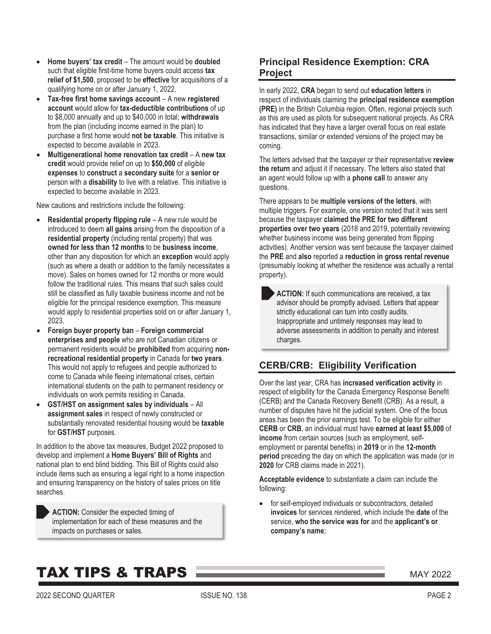- $\bullet$  **Home buyers' tax credit** – The amount would be **doubled** such that eligible first-time home buyers could access **tax relief of \$1,500**, proposed to be **effective** for acquisitions of a qualifying home on or after January 1, 2022.
- - **Tax-free first home savings account** – A new **registered account** would allow for **tax-deductible contributions** of up to \$8,000 annually and up to \$40,000 in total; **withdrawals** from the plan (including income earned in the plan) to purchase a first home would **not be taxable**. This initiative is expected to become available in 2023.
- -**Multigenerational home renovation tax credit – A new tax credit** would provide relief on up to **\$50,000** of eligible **expenses** to **construct** a **secondary suite** for a **senior or** person with a **disability** to live with a relative. This initiative is expected to become available in 2023.

New cautions and restrictions include the following:

- - **Residential property flipping rule** – A new rule would be introduced to deem **all gains** arising from the disposition of a **residential property** (including rental property) that was **owned for less than 12 months** to be **business income**, other than any disposition for which an **exception** would apply (such as where a death or addition to the family necessitates a move). Sales on homes owned for 12 months or more would follow the traditional rules. This means that such sales could still be classified as fully taxable business income and not be eligible for the principal residence exemption. This measure would apply to residential properties sold on or after January 1, 2023.
- - **Foreign buyer property ban** – **Foreign commercial enterprises and people** who are not Canadian citizens or permanent residents would be **prohibited** from acquiring **nonrecreational residential property** in Canada for **two years**. This would not apply to refugees and people authorized to come to Canada while fleeing international crises, certain international students on the path to permanent residency or individuals on work permits residing in Canada.
- - **GST/HST on assignment sales by individuals** – All **assignment sales** in respect of newly constructed or substantially renovated residential housing would be **taxable** for **GST/HST** purposes.

In addition to the above tax measures, Budget 2022 proposed to develop and implement a **Home Buyers' Bill of Rights** and national plan to end blind bidding. This Bill of Rights could also include items such as ensuring a legal right to a home inspection and ensuring transparency on the history of sales prices on title searches.

**ACTION:** Consider the expected timing of implementation for each of these measures and the impacts on purchases or sales.

#### **Principal Residence Exemption: CRA Project**

In early 2022, **CRA** began to send out **education letters** in respect of individuals claiming the **principal residence exemption (PRE)** in the British Columbia region. Often, regional projects such as this are used as pilots for subsequent national projects. As CRA has indicated that they have a larger overall focus on real estate transactions, similar or extended versions of the project may be coming.

The letters advised that the taxpayer or their representative **review the return** and adjust it if necessary. The letters also stated that an agent would follow up with a **phone call** to answer any questions.

There appears to be **multiple versions of the letters**, with multiple triggers. For example, one version noted that it was sent because the taxpayer **claimed the PRE for two different properties over two years** (2018 and 2019, potentially reviewing whether business income was being generated from flipping activities). Another version was sent because the taxpayer claimed the **PRE** and **also** reported a **reduction in gross rental revenue** (presumably looking at whether the residence was actually a rental property).

**ACTION:** If such communications are received, a tax advisor should be promptly advised. Letters that appear strictly educational can turn into costly audits. Inappropriate and untimely responses may lead to adverse assessments in addition to penalty and interest charges.

#### **CERB/CRB: Eligibility Verification**

Over the last year, CRA has **increased verification activity** in respect of eligibility for the Canada Emergency Response Benefit (CERB) and the Canada Recovery Benefit (CRB). As a result, a number of disputes have hit the judicial system. One of the focus areas has been the prior earnings test. To be eligible for either **CERB** or **CRB**, an individual must have **earned at least \$5,000** of **income** from certain sources (such as employment, selfemployment or parental benefits) in **2019** or in the **12-month period** preceding the day on which the application was made (or in **2020** for CRB claims made in 2021).

**Acceptable evidence** to substantiate a claim can include the following:

 $\bullet$  for self-employed individuals or subcontractors, detailed **invoices** for services rendered, which include the **date** of the service, **who the service was for** and the **applicant's or company's name**;

### **TAX TIPS & TRAPS MAY 2022** MAY 2022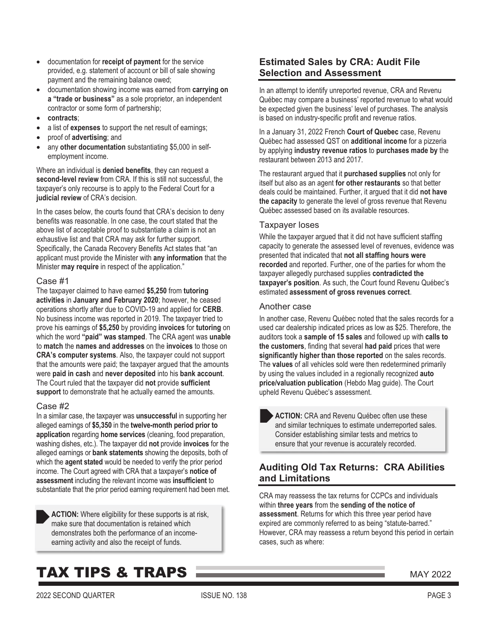- $\bullet$  documentation for **receipt of payment** for the service provided, e.g. statement of account or bill of sale showing payment and the remaining balance owed;
- $\bullet$  documentation showing income was earned from **carrying on a "trade or business"** as a sole proprietor, an independent contractor or some form of partnership;
- **contracts**;
- a list of **expenses** to support the net result of earnings;
- proof of **advertising**; and
- $\bullet$  any **other documentation** substantiating \$5,000 in selfemployment income.

Where an individual is **denied benefits**, they can request a **second-level review** from CRA. If this is still not successful, the taxpayer's only recourse is to apply to the Federal Court for a **judicial review** of CRA's decision.

In the cases below, the courts found that CRA's decision to deny benefits was reasonable. In one case, the court stated that the above list of acceptable proof to substantiate a claim is not an exhaustive list and that CRA may ask for further support. Specifically, the Canada Recovery Benefits Act states that "an applicant must provide the Minister with **any information** that the Minister **may require** in respect of the application."

#### Case #1

The taxpayer claimed to have earned **\$5,250** from **tutoring activities** in **January and February 2020**; however, he ceased operations shortly after due to COVID-19 and applied for **CERB**. No business income was reported in 2019. The taxpayer tried to prove his earnings of **\$5,250** by providing **invoices** for **tutoring** on which the word **"paid" was stamped**. The CRA agent was **unable** to **match** the **names and addresses** on the **invoices** to those on **CRA's computer systems**. Also, the taxpayer could not support that the amounts were paid; the taxpayer argued that the amounts were **paid in cash** and **never deposited** into his **bank account**. The Court ruled that the taxpayer did **not** provide **sufficient support** to demonstrate that he actually earned the amounts.

#### Case #2

In a similar case, the taxpayer was **unsuccessful** in supporting her alleged earnings of **\$5,350** in the **twelve-month period prior to application** regarding **home services** (cleaning, food preparation, washing dishes, etc.). The taxpayer did **not** provide **invoices** for the alleged earnings or **bank statements** showing the deposits, both of which the **agent stated** would be needed to verify the prior period income. The Court agreed with CRA that a taxpayer's **notice of assessment** including the relevant income was **insufficient** to substantiate that the prior period earning requirement had been met.

**ACTION:** Where eligibility for these supports is at risk, make sure that documentation is retained which demonstrates both the performance of an incomeearning activity and also the receipt of funds.

# **TAX TIPS & TRAPS MAY 2022** MAY 2022

#### **Estimated Sales by CRA: Audit File Selection and Assessment**

In an attempt to identify unreported revenue, CRA and Revenu Québec may compare a business' reported revenue to what would be expected given the business' level of purchases. The analysis is based on industry-specific profit and revenue ratios.

In a January 31, 2022 French **Court of Quebec** case, Revenu Québec had assessed QST on **additional income** for a pizzeria by applying **industry revenue ratios** to **purchases made by** the restaurant between 2013 and 2017.

The restaurant argued that it **purchased supplies** not only for itself but also as an agent **for other restaurants** so that better deals could be maintained. Further, it argued that it did **not have the capacity** to generate the level of gross revenue that Revenu Québec assessed based on its available resources.

#### Taxpayer loses

While the taxpayer argued that it did not have sufficient staffing capacity to generate the assessed level of revenues, evidence was presented that indicated that **not all staffing hours were recorded** and reported. Further, one of the parties for whom the taxpayer allegedly purchased supplies **contradicted the taxpayer's position**. As such, the Court found Revenu Québec's estimated **assessment of gross revenues correct**.

#### Another case

In another case, Revenu Québec noted that the sales records for a used car dealership indicated prices as low as \$25. Therefore, the auditors took a **sample of 15 sales** and followed up with **calls to the customers**, finding that several **had paid** prices that were **significantly higher than those reported** on the sales records. The **values** of all vehicles sold were then redetermined primarily by using the values included in a regionally recognized **auto price/valuation publication** (Hebdo Mag guide). The Court upheld Revenu Québec's assessment.

**ACTION:** CRA and Revenu Québec often use these and similar techniques to estimate underreported sales. Consider establishing similar tests and metrics to ensure that your revenue is accurately recorded.

#### **Auditing Old Tax Returns: CRA Abilities and Limitations**

CRA may reassess the tax returns for CCPCs and individuals within **three years** from the **sending of the notice of assessment**. Returns for which this three year period have expired are commonly referred to as being "statute-barred." However, CRA may reassess a return beyond this period in certain cases, such as where: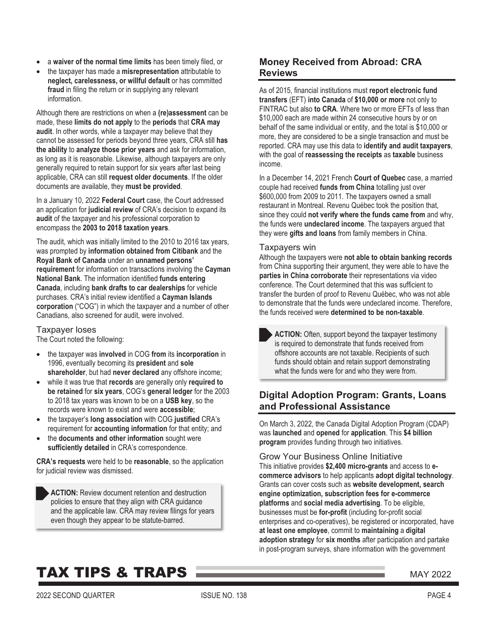- $\bullet$ a **waiver of the normal time limits** has been timely filed, or
- the taxpayer has made a **misrepresentation** attributable to **neglect, carelessness, or willful default** or has committed **fraud** in filing the return or in supplying any relevant information.

Although there are restrictions on when a **(re)assessment** can be made, these **limits do not apply** to the **periods** that **CRA may audit**. In other words, while a taxpayer may believe that they cannot be assessed for periods beyond three years, CRA still **has the ability** to **analyze those prior years** and ask for information, as long as it is reasonable. Likewise, although taxpayers are only generally required to retain support for six years after last being applicable, CRA can still **request older documents**. If the older documents are available, they **must be provided**.

In a January 10, 2022 **Federal Court** case, the Court addressed an application for **judicial review** of CRA's decision to expand its **audit** of the taxpayer and his professional corporation to encompass the **2003 to 2018 taxation years**.

The audit, which was initially limited to the 2010 to 2016 tax years, was prompted by **information obtained from Citibank** and the **Royal Bank of Canada** under an **unnamed persons' requirement** for information on transactions involving the **Cayman National Bank**. The information identified **funds entering Canada**, including **bank drafts to car dealerships** for vehicle purchases. CRA's initial review identified a **Cayman Islands corporation** ("COG") in which the taxpayer and a number of other Canadians, also screened for audit, were involved.

#### Taxpayer loses

The Court noted the following:

- the taxpayer was **involved** in COG **from** its **incorporation** in 1996, eventually becoming its **president** and **sole shareholder**, but had **never declared** any offshore income;
- while it was true that **records** are generally only **required to be retained** for **six years**, COG's **general ledger** for the 2003 to 2018 tax years was known to be on a **USB key**, so the records were known to exist and were **accessible**;
- $\bullet$  the taxpayer's **long association** with COG **justified** CRA's requirement for **accounting information** for that entity; and
- the **documents and other information** sought were **sufficiently detailed** in CRA's correspondence.

**CRA's requests** were held to be **reasonable**, so the application for judicial review was dismissed.



#### **Money Received from Abroad: CRA Reviews**

As of 2015, financial institutions must **report electronic fund transfers** (EFT) **into Canada** of **\$10,000 or more** not only to FINTRAC but also **to CRA**. Where two or more EFTs of less than \$10,000 each are made within 24 consecutive hours by or on behalf of the same individual or entity, and the total is \$10,000 or more, they are considered to be a single transaction and must be reported. CRA may use this data to **identify and audit taxpayers**, with the goal of **reassessing the receipts** as **taxable** business income.

In a December 14, 2021 French **Court of Quebec** case, a married couple had received **funds from China** totalling just over \$600,000 from 2009 to 2011. The taxpayers owned a small restaurant in Montreal. Revenu Québec took the position that, since they could **not verify where the funds came from** and why, the funds were **undeclared income**. The taxpayers argued that they were **gifts and loans** from family members in China.

#### Taxpayers win

Although the taxpayers were **not able to obtain banking records** from China supporting their argument, they were able to have the **parties in China corroborate** their representations via video conference. The Court determined that this was sufficient to transfer the burden of proof to Revenu Québec, who was not able to demonstrate that the funds were undeclared income. Therefore, the funds received were **determined to be non-taxable**.

ACTION: Often, support beyond the taxpayer testimony is required to demonstrate that funds received from offshore accounts are not taxable. Recipients of such funds should obtain and retain support demonstrating what the funds were for and who they were from.

#### **Digital Adoption Program: Grants, Loans and Professional Assistance**

On March 3, 2022, the Canada Digital Adoption Program (CDAP) was **launched** and **opened** for **application**. This **\$4 billion program** provides funding through two initiatives.

Grow Your Business Online Initiative This initiative provides **\$2,400 micro-grants** and access to **ecommerce advisors** to help applicants **adopt digital technology**. Grants can cover costs such as **website development, search engine optimization, subscription fees for e-commerce platforms** and **social media advertising**. To be eligible, businesses must be **for-profit** (including for-profit social enterprises and co-operatives), be registered or incorporated, have **at least one employee**, commit to **maintaining** a **digital adoption strategy** for **six months** after participation and partake in post-program surveys, share information with the government

### **TAX TIPS & TRAPS MAY 2022** MAY 2022